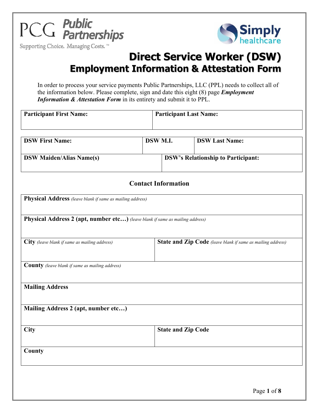

Supporting Choice. Managing Costs.™



# **Direct Service Worker (DSW) Employment Information & Attestation Form**

In order to process your service payments Public Partnerships, LLC (PPL) needs to collect all of the information below. Please complete, sign and date this eight (8) page *Employment Information & Attestation Form* in its entirety and submit it to PPL.

| <b>Participant First Name:</b>  |  | <b>Participant Last Name:</b> |                                           |
|---------------------------------|--|-------------------------------|-------------------------------------------|
| <b>DSW First Name:</b>          |  | DSW M.I.                      | <b>DSW Last Name:</b>                     |
| <b>DSW Maiden/Alias Name(s)</b> |  |                               | <b>DSW's Relationship to Participant:</b> |

### **Contact Information**

| Physical Address (leave blank if same as mailing address)<br>Physical Address 2 (apt, number etc) (leave blank if same as mailing address) |                           |  |
|--------------------------------------------------------------------------------------------------------------------------------------------|---------------------------|--|
|                                                                                                                                            |                           |  |
| <b>County</b> (leave blank if same as mailing address)                                                                                     |                           |  |
| <b>Mailing Address</b>                                                                                                                     |                           |  |
| Mailing Address 2 (apt, number etc)                                                                                                        |                           |  |
| City                                                                                                                                       | <b>State and Zip Code</b> |  |
| County                                                                                                                                     |                           |  |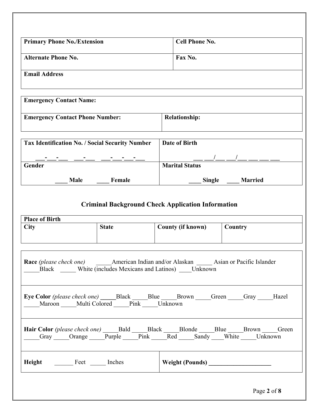| <b>Primary Phone No./Extension</b>                     |                                   | <b>Cell Phone No.</b>                                                                                           |  |
|--------------------------------------------------------|-----------------------------------|-----------------------------------------------------------------------------------------------------------------|--|
| <b>Alternate Phone No.</b>                             |                                   | Fax No.                                                                                                         |  |
| <b>Email Address</b>                                   |                                   |                                                                                                                 |  |
| <b>Emergency Contact Name:</b>                         |                                   |                                                                                                                 |  |
| <b>Emergency Contact Phone Number:</b>                 |                                   | <b>Relationship:</b>                                                                                            |  |
| <b>Tax Identification No. / Social Security Number</b> |                                   | Date of Birth                                                                                                   |  |
|                                                        |                                   |                                                                                                                 |  |
| <b>Gender</b>                                          |                                   | <b>Marital Status</b>                                                                                           |  |
| <b>Male</b>                                            | <b>Female</b>                     | Single Married                                                                                                  |  |
| <b>Place of Birth</b><br><b>City</b>                   | <b>State</b>                      | <b>Criminal Background Check Application Information</b><br><b>County (if known)</b><br>Country                 |  |
| <b>Race</b> (please check one)                         |                                   | American Indian and/or Alaskan Asian or Pacific Islander<br>Black White (includes Mexicans and Latinos) Unknown |  |
|                                                        | Maroon Multi Colored Pink Unknown | <b>Eye Color</b> (please check one) Black Blue Brown Green Gray Hazel                                           |  |
|                                                        |                                   | Gray Orange Purple Pink Red Sandy White Unknown                                                                 |  |
| Height Feet Inches                                     |                                   |                                                                                                                 |  |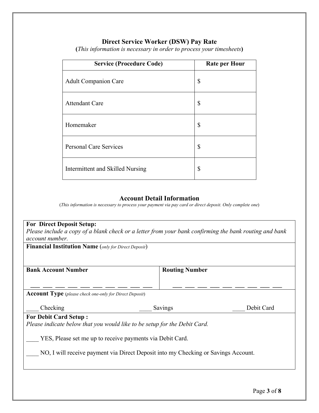# **Direct Service Worker (DSW) Pay Rate**

| <b>Service (Procedure Code)</b>  | <b>Rate per Hour</b> |
|----------------------------------|----------------------|
| <b>Adult Companion Care</b>      | \$                   |
| <b>Attendant Care</b>            | \$                   |
| Homemaker                        | \$                   |
| <b>Personal Care Services</b>    | \$                   |
| Intermittent and Skilled Nursing | \$                   |

**(***This information is necessary in order to process your timesheets***)**

#### **Account Detail Information**

(*This information is necessary to process your payment via pay card or direct deposit. Only complete one*)

| <b>For Direct Deposit Setup:</b>                                                                       |                                                                                    |            |  |
|--------------------------------------------------------------------------------------------------------|------------------------------------------------------------------------------------|------------|--|
| Please include a copy of a blank check or a letter from your bank confirming the bank routing and bank |                                                                                    |            |  |
| account number.                                                                                        |                                                                                    |            |  |
| <b>Financial Institution Name</b> (only for Direct Deposit)                                            |                                                                                    |            |  |
|                                                                                                        |                                                                                    |            |  |
|                                                                                                        |                                                                                    |            |  |
| <b>Bank Account Number</b>                                                                             | <b>Routing Number</b>                                                              |            |  |
|                                                                                                        |                                                                                    |            |  |
| <b>Account Type</b> (please check one-only for Direct Deposit)                                         |                                                                                    |            |  |
| Checking                                                                                               | Savings                                                                            | Debit Card |  |
| <b>For Debit Card Setup:</b>                                                                           |                                                                                    |            |  |
| Please indicate below that you would like to be setup for the Debit Card.                              |                                                                                    |            |  |
|                                                                                                        |                                                                                    |            |  |
| YES, Please set me up to receive payments via Debit Card.                                              |                                                                                    |            |  |
|                                                                                                        | NO, I will receive payment via Direct Deposit into my Checking or Savings Account. |            |  |
|                                                                                                        |                                                                                    |            |  |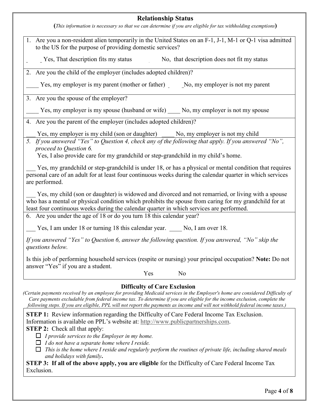#### **Relationship Status**

**(***This information is necessary so that we can determine if you are eligible for tax withholding exemptions***)** 

| 1. Are you a non-resident alien temporarily in the United States on an F-1, J-1, M-1 or Q-1 visa admitted<br>to the US for the purpose of providing domestic services?                                                                                                                                                                                                           |
|----------------------------------------------------------------------------------------------------------------------------------------------------------------------------------------------------------------------------------------------------------------------------------------------------------------------------------------------------------------------------------|
| Yes, That description fits my status<br>No, that description does not fit my status                                                                                                                                                                                                                                                                                              |
| 2. Are you the child of the employer (includes adopted children)?                                                                                                                                                                                                                                                                                                                |
| Yes, my employer is my parent (mother or father) No, my employer is not my parent                                                                                                                                                                                                                                                                                                |
| 3. Are you the spouse of the employer?                                                                                                                                                                                                                                                                                                                                           |
| Yes, my employer is my spouse (husband or wife) No, my employer is not my spouse                                                                                                                                                                                                                                                                                                 |
| 4. Are you the parent of the employer (includes adopted children)?                                                                                                                                                                                                                                                                                                               |
| Yes, my employer is my child (son or daughter) _____ No, my employer is not my child                                                                                                                                                                                                                                                                                             |
| 5. If you answered "Yes" to Question 4, check any of the following that apply. If you answered "No",<br>proceed to Question 6.<br>Yes, I also provide care for my grandchild or step-grandchild in my child's home.                                                                                                                                                              |
| Yes, my grandchild or step-grandchild is under 18, or has a physical or mental condition that requires<br>personal care of an adult for at least four continuous weeks during the calendar quarter in which services<br>are performed.                                                                                                                                           |
| Yes, my child (son or daughter) is widowed and divorced and not remarried, or living with a spouse<br>who has a mental or physical condition which prohibits the spouse from caring for my grandchild for at<br>least four continuous weeks during the calendar quarter in which services are performed.<br>6. Are you under the age of 18 or do you turn 18 this calendar year? |
|                                                                                                                                                                                                                                                                                                                                                                                  |
| Yes, I am under 18 or turning 18 this calendar year. No, I am over 18.                                                                                                                                                                                                                                                                                                           |
| If you answered "Yes" to Question 6, answer the following question. If you answered, "No" skip the<br>questions below.                                                                                                                                                                                                                                                           |
| Is this job of performing household services (respite or nursing) your principal occupation? Note: Do not<br>answer "Yes" if you are a student.                                                                                                                                                                                                                                  |
| Yes<br>No                                                                                                                                                                                                                                                                                                                                                                        |

*(Certain payments received by an employee for providing Medicaid services in the Employer's home are considered Difficulty of Care payments excludable from federal income tax. To determine if you are eligible for the income exclusion, complete the following steps. If you are eligible, PPL will not report the payments as income and will not withhold federal income taxes.)* 

**STEP 1:** Review information regarding the Difficulty of Care Federal Income Tax Exclusion. Information is available on PPL's website at: http://www.publicpartnerships.com.

**STEP 2:** Check all that apply:

*I provide services to the Employer in my home.*

*I do not have a separate home where I reside.*

 *This is the home where I reside and regularly perform the routines of private life, including shared meals and holidays with family***.**

**STEP 3: If all of the above apply, you are eligible** for the Difficulty of Care Federal Income Tax Exclusion.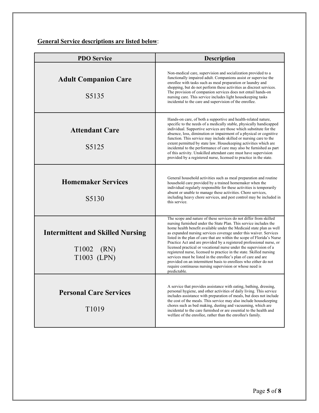**General Service descriptions are listed below**:

| <b>PDO Service</b>                                                                  | <b>Description</b>                                                                                                                                                                                                                                                                                                                                                                                                                                                                                                                                                                                                                                                                                                                                                                                  |
|-------------------------------------------------------------------------------------|-----------------------------------------------------------------------------------------------------------------------------------------------------------------------------------------------------------------------------------------------------------------------------------------------------------------------------------------------------------------------------------------------------------------------------------------------------------------------------------------------------------------------------------------------------------------------------------------------------------------------------------------------------------------------------------------------------------------------------------------------------------------------------------------------------|
| <b>Adult Companion Care</b><br>S5135                                                | Non-medical care, supervision and socialization provided to a<br>functionally impaired adult. Companions assist or supervise the<br>enrollee with tasks such as meal preparation or laundry and<br>shopping, but do not perform these activities as discreet services.<br>The provision of companion services does not entail hands-on<br>nursing care. This service includes light housekeeping tasks<br>incidental to the care and supervision of the enrollee.                                                                                                                                                                                                                                                                                                                                   |
| <b>Attendant Care</b><br>S5125                                                      | Hands-on care, of both a supportive and health-related nature,<br>specific to the needs of a medically stable, physically handicapped<br>individual. Supportive services are those which substitute for the<br>absence, loss, diminution or impairment of a physical or cognitive<br>function. This service may include skilled or nursing care to the<br>extent permitted by state law. Housekeeping activities which are<br>incidental to the performance of care may also be furnished as part<br>of this activity. Unskilled attendant care must have supervision<br>provided by a registered nurse, licensed to practice in the state.                                                                                                                                                         |
| <b>Homemaker Services</b><br>S5130                                                  | General household activities such as meal preparation and routine<br>household care provided by a trained homemaker when the<br>individual regularly responsible for these activities is temporarily<br>absent or unable to manage these activities. Chore services,<br>including heavy chore services, and pest control may be included in<br>this service.                                                                                                                                                                                                                                                                                                                                                                                                                                        |
| <b>Intermittent and Skilled Nursing</b><br>T <sub>1002</sub><br>(RN)<br>T1003 (LPN) | The scope and nature of these services do not differ from skilled<br>nursing furnished under the State Plan. This service includes the<br>home health benefit available under the Medicaid state plan as well<br>as expanded nursing services coverage under this waiver. Services<br>listed in the plan of care that are within the scope of Florida's Nurse<br>Practice Act and are provided by a registered professional nurse, or<br>licensed practical or vocational nurse under the supervision of a<br>registered nurse, licensed to practice in the state. Skilled nursing<br>services must be listed in the enrollee's plan of care and are<br>provided on an intermittent basis to enrollees who either do not<br>require continuous nursing supervision or whose need is<br>predictable. |
| <b>Personal Care Services</b><br>T <sub>10</sub> 19                                 | A service that provides assistance with eating, bathing, dressing,<br>personal hygiene, and other activities of daily living. This service<br>includes assistance with preparation of meals, but does not include<br>the cost of the meals. This service may also include housekeeping<br>chores such as bed making, dusting and vacuuming, which are<br>incidental to the care furnished or are essential to the health and<br>welfare of the enrollee, rather than the enrollee's family.                                                                                                                                                                                                                                                                                                         |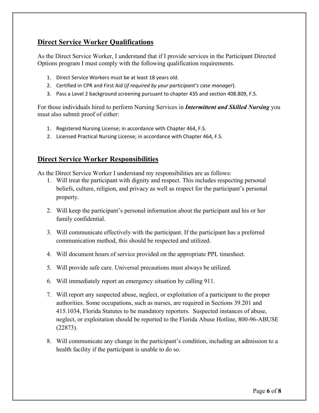# **Direct Service Worker Qualifications**

As the Direct Service Worker, I understand that if I provide services in the Participant Directed Options program I must comply with the following qualification requirements.

- 1. Direct Service Workers must be at least 18 years old.
- Ϯ͘ Certified in CPR and First Aid (*if required by your participant's case manager*).
- 3. Pass a Level 2 background screening pursuant to chapter 435 and section 408.809, F.S.

For those individuals hired to perform Nursing Services in *Intermittent and Skilled Nursing* you must also submit proof of either:

- 1. Registered Nursing License; in accordance with Chapter 464, F.S.
- 2. Licensed Practical Nursing License; in accordance with Chapter 464, F.S.

## **Direct Service Worker Responsibilities**

As the Direct Service Worker I understand my responsibilities are as follows:

- 1. Will treat the participant with dignity and respect. This includes respecting personal beliefs, culture, religion, and privacy as well as respect for the participant's personal property.
- 2. Will keep the participant's personal information about the participant and his or her family confidential.
- 3. Will communicate effectively with the participant. If the participant has a preferred communication method, this should be respected and utilized.
- 4. Will document hours of service provided on the appropriate PPL timesheet.
- 5. Will provide safe care. Universal precautions must always be utilized.
- 6. Will immediately report an emergency situation by calling 911.
- 7. Will report any suspected abuse, neglect, or exploitation of a participant to the proper authorities. Some occupations, such as nurses, are required in Sections 39.201 and 415.1034, Florida Statutes to be mandatory reporters. Suspected instances of abuse, neglect, or exploitation should be reported to the Florida Abuse Hotline, 800-96-ABUSE (22873).
- 8. Will communicate any change in the participant's condition, including an admission to a health facility if the participant is unable to do so.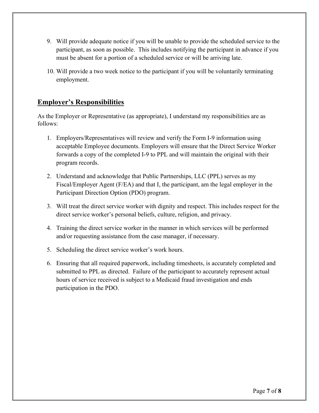- 9. Will provide adequate notice if you will be unable to provide the scheduled service to the participant, as soon as possible. This includes notifying the participant in advance if you must be absent for a portion of a scheduled service or will be arriving late.
- 10. Will provide a two week notice to the participant if you will be voluntarily terminating employment.

## **Employer's Responsibilities**

As the Employer or Representative (as appropriate), I understand my responsibilities are as follows:

- 1. Employers/Representatives will review and verify the Form I-9 information using acceptable Employee documents. Employers will ensure that the Direct Service Worker forwards a copy of the completed I-9 to PPL and will maintain the original with their program records.
- 2. Understand and acknowledge that Public Partnerships, LLC (PPL) serves as my Fiscal/Employer Agent (F/EA) and that I, the participant, am the legal employer in the Participant Direction Option (PDO) program.
- 3. Will treat the direct service worker with dignity and respect. This includes respect for the direct service worker's personal beliefs, culture, religion, and privacy.
- 4. Training the direct service worker in the manner in which services will be performed and/or requesting assistance from the case manager, if necessary.
- 5. Scheduling the direct service worker's work hours.
- 6. Ensuring that all required paperwork, including timesheets, is accurately completed and submitted to PPL as directed. Failure of the participant to accurately represent actual hours of service received is subject to a Medicaid fraud investigation and ends participation in the PDO.